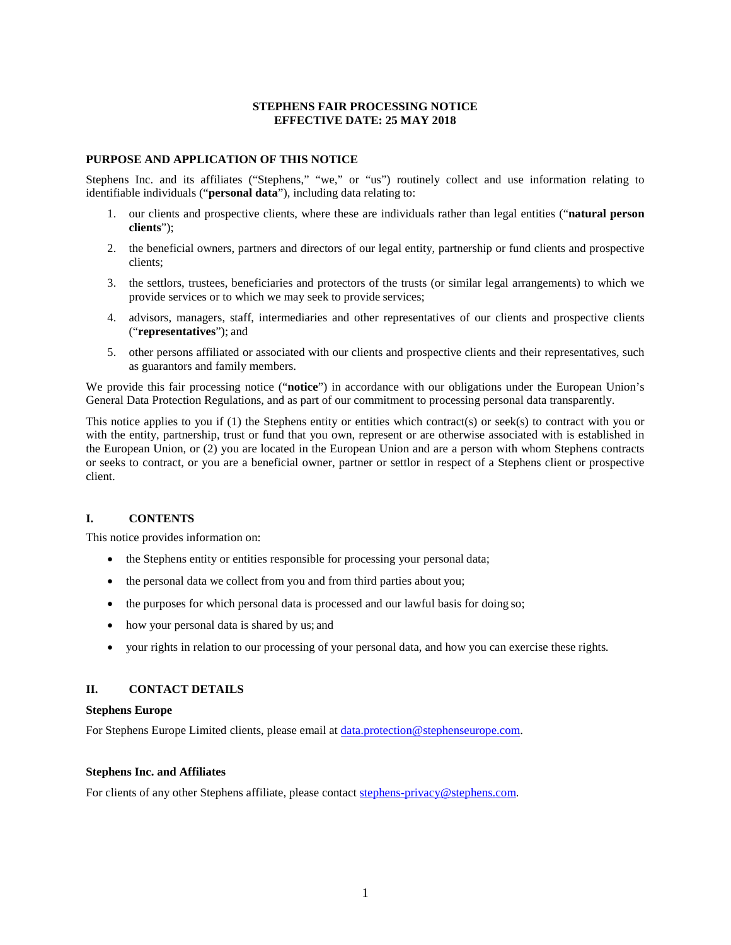#### **STEPHENS FAIR PROCESSING NOTICE EFFECTIVE DATE: 25 MAY 2018**

#### **PURPOSE AND APPLICATION OF THIS NOTICE**

Stephens Inc. and its affiliates ("Stephens," "we," or "us") routinely collect and use information relating to identifiable individuals ("**personal data**"), including data relating to:

- 1. our clients and prospective clients, where these are individuals rather than legal entities ("**natural person clients**");
- 2. the beneficial owners, partners and directors of our legal entity, partnership or fund clients and prospective clients;
- 3. the settlors, trustees, beneficiaries and protectors of the trusts (or similar legal arrangements) to which we provide services or to which we may seek to provide services;
- 4. advisors, managers, staff, intermediaries and other representatives of our clients and prospective clients ("**representatives**"); and
- 5. other persons affiliated or associated with our clients and prospective clients and their representatives, such as guarantors and family members.

We provide this fair processing notice ("**notice**") in accordance with our obligations under the European Union's General Data Protection Regulations, and as part of our commitment to processing personal data transparently.

This notice applies to you if (1) the Stephens entity or entities which contract(s) or seek(s) to contract with you or with the entity, partnership, trust or fund that you own, represent or are otherwise associated with is established in the European Union, or (2) you are located in the European Union and are a person with whom Stephens contracts or seeks to contract, or you are a beneficial owner, partner or settlor in respect of a Stephens client or prospective client.

#### **I. CONTENTS**

This notice provides information on:

- the Stephens entity or entities responsible for processing your personal data;
- the personal data we collect from you and from third parties about you;
- the purposes for which personal data is processed and our lawful basis for doing so;
- how your personal data is shared by us; and
- your rights in relation to our processing of your personal data, and how you can exercise these rights*.*

#### **II. CONTACT DETAILS**

#### **Stephens Europe**

For Stephens Europe Limited clients, please email at [data.protection@stephenseurope.com.](mailto:data.protection@stephenseurope.com)

#### **Stephens Inc. and Affiliates**

For clients of any other Stephens affiliate, please contact stephens-privacy@stephens.com.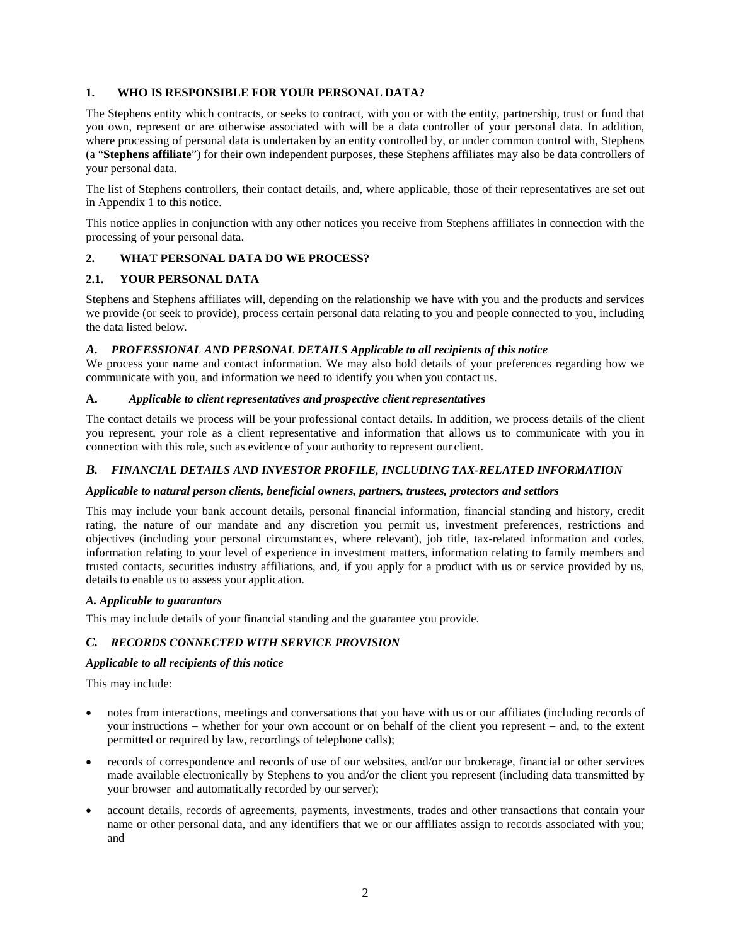### **1. WHO IS RESPONSIBLE FOR YOUR PERSONAL DATA?**

The Stephens entity which contracts, or seeks to contract, with you or with the entity, partnership, trust or fund that you own, represent or are otherwise associated with will be a data controller of your personal data. In addition, where processing of personal data is undertaken by an entity controlled by, or under common control with, Stephens (a "**Stephens affiliate**") for their own independent purposes, these Stephens affiliates may also be data controllers of your personal data.

The list of Stephens controllers, their contact details, and, where applicable, those of their representatives are set out in Appendix 1 to this notice.

This notice applies in conjunction with any other notices you receive from Stephens affiliates in connection with the processing of your personal data.

## **2. WHAT PERSONAL DATA DO WE PROCESS?**

### **2.1. YOUR PERSONAL DATA**

Stephens and Stephens affiliates will, depending on the relationship we have with you and the products and services we provide (or seek to provide), process certain personal data relating to you and people connected to you, including the data listed below.

### *A. PROFESSIONAL AND PERSONAL DETAILS Applicable to all recipients of this notice*

We process your name and contact information. We may also hold details of your preferences regarding how we communicate with you, and information we need to identify you when you contact us.

### **A.** *Applicable to client representatives and prospective client representatives*

The contact details we process will be your professional contact details. In addition, we process details of the client you represent, your role as a client representative and information that allows us to communicate with you in connection with this role, such as evidence of your authority to represent our client.

### *B. FINANCIAL DETAILS AND INVESTOR PROFILE, INCLUDING TAX-RELATED INFORMATION*

### *Applicable to natural person clients, beneficial owners, partners, trustees, protectors and settlors*

This may include your bank account details, personal financial information, financial standing and history, credit rating, the nature of our mandate and any discretion you permit us, investment preferences, restrictions and objectives (including your personal circumstances, where relevant), job title, tax-related information and codes, information relating to your level of experience in investment matters, information relating to family members and trusted contacts, securities industry affiliations, and, if you apply for a product with us or service provided by us, details to enable us to assess your application.

### *A. Applicable to guarantors*

This may include details of your financial standing and the guarantee you provide.

### *C. RECORDS CONNECTED WITH SERVICE PROVISION*

### *Applicable to all recipients of this notice*

This may include:

- notes from interactions, meetings and conversations that you have with us or our affiliates (including records of your instructions – whether for your own account or on behalf of the client you represent – and, to the extent permitted or required by law, recordings of telephone calls);
- records of correspondence and records of use of our websites, and/or our brokerage, financial or other services made available electronically by Stephens to you and/or the client you represent (including data transmitted by your browser and automatically recorded by our server);
- account details, records of agreements, payments, investments, trades and other transactions that contain your name or other personal data, and any identifiers that we or our affiliates assign to records associated with you; and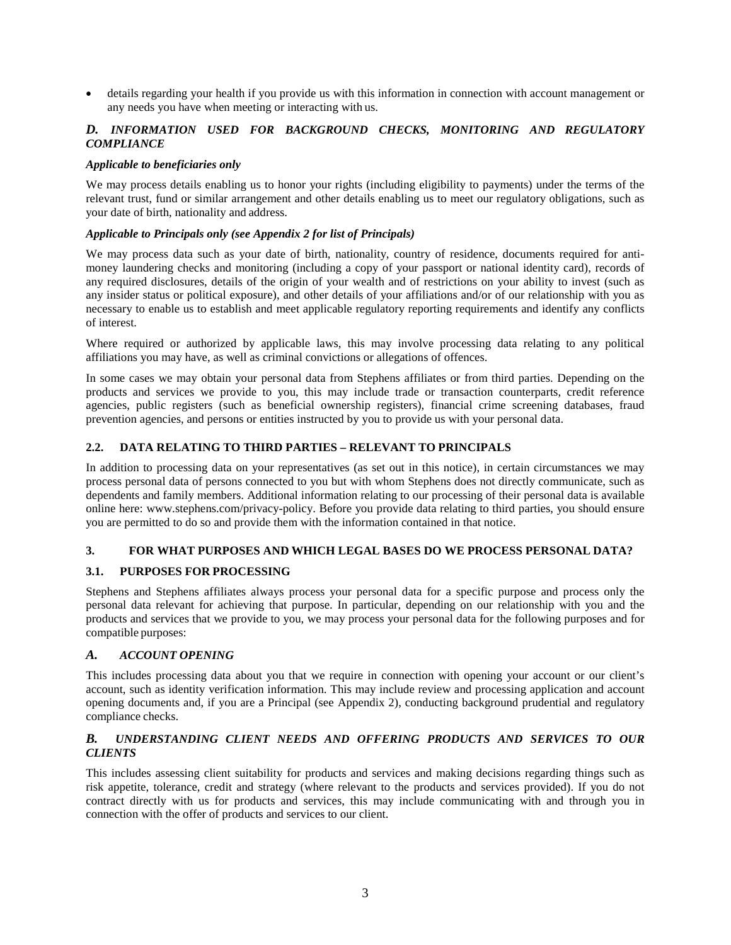• details regarding your health if you provide us with this information in connection with account management or any needs you have when meeting or interacting with us.

### *D. INFORMATION USED FOR BACKGROUND CHECKS, MONITORING AND REGULATORY COMPLIANCE*

#### *Applicable to beneficiaries only*

We may process details enabling us to honor your rights (including eligibility to payments) under the terms of the relevant trust, fund or similar arrangement and other details enabling us to meet our regulatory obligations, such as your date of birth, nationality and address.

## *Applicable to Principals only (see Appendix 2 for list of Principals)*

We may process data such as your date of birth, nationality, country of residence, documents required for antimoney laundering checks and monitoring (including a copy of your passport or national identity card), records of any required disclosures, details of the origin of your wealth and of restrictions on your ability to invest (such as any insider status or political exposure), and other details of your affiliations and/or of our relationship with you as necessary to enable us to establish and meet applicable regulatory reporting requirements and identify any conflicts of interest.

Where required or authorized by applicable laws, this may involve processing data relating to any political affiliations you may have, as well as criminal convictions or allegations of offences.

In some cases we may obtain your personal data from Stephens affiliates or from third parties. Depending on the products and services we provide to you, this may include trade or transaction counterparts, credit reference agencies, public registers (such as beneficial ownership registers), financial crime screening databases, fraud prevention agencies, and persons or entities instructed by you to provide us with your personal data.

#### **2.2. DATA RELATING TO THIRD PARTIES – RELEVANT TO PRINCIPALS**

In addition to processing data on your representatives (as set out in this notice), in certain circumstances we may process personal data of persons connected to you but with whom Stephens does not directly communicate, such as dependents and family members. Additional information relating to our processing of their personal data is available online here: www.stephens.com/privacy-policy. Before you provide data relating to third parties, you should ensure you are permitted to do so and provide them with the information contained in that notice.

### **3. FOR WHAT PURPOSES AND WHICH LEGAL BASES DO WE PROCESS PERSONAL DATA?**

### **3.1. PURPOSES FOR PROCESSING**

Stephens and Stephens affiliates always process your personal data for a specific purpose and process only the personal data relevant for achieving that purpose. In particular, depending on our relationship with you and the products and services that we provide to you, we may process your personal data for the following purposes and for compatible purposes:

#### *A. ACCOUNT OPENING*

This includes processing data about you that we require in connection with opening your account or our client's account, such as identity verification information. This may include review and processing application and account opening documents and, if you are a Principal (see Appendix 2), conducting background prudential and regulatory compliance checks.

### *B. UNDERSTANDING CLIENT NEEDS AND OFFERING PRODUCTS AND SERVICES TO OUR CLIENTS*

This includes assessing client suitability for products and services and making decisions regarding things such as risk appetite, tolerance, credit and strategy (where relevant to the products and services provided). If you do not contract directly with us for products and services, this may include communicating with and through you in connection with the offer of products and services to our client.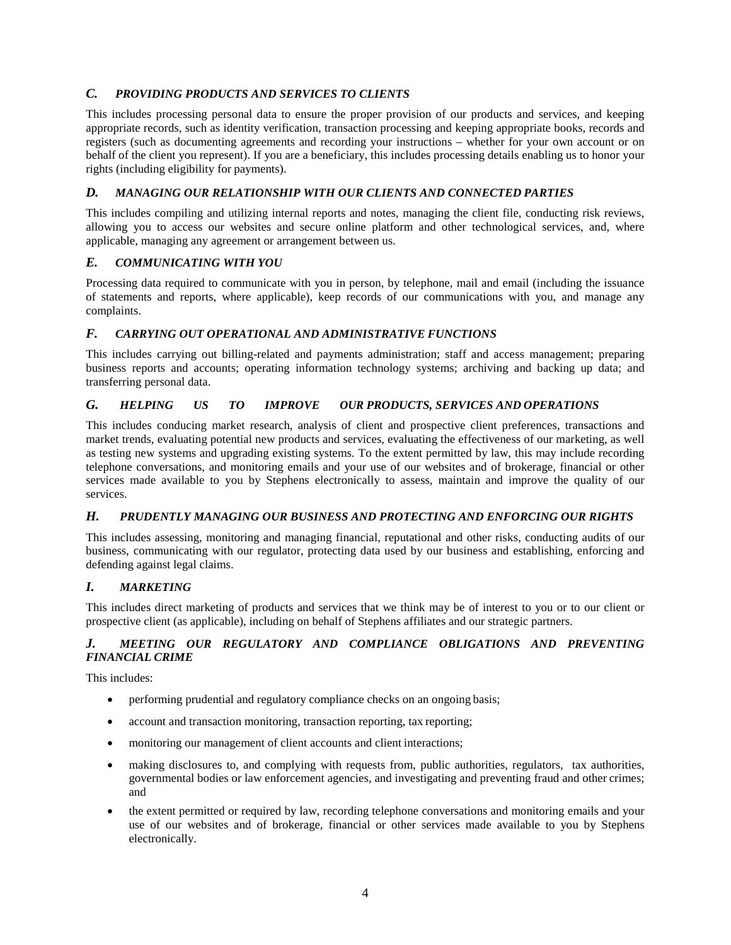## *C. PROVIDING PRODUCTS AND SERVICES TO CLIENTS*

This includes processing personal data to ensure the proper provision of our products and services, and keeping appropriate records, such as identity verification, transaction processing and keeping appropriate books, records and registers (such as documenting agreements and recording your instructions – whether for your own account or on behalf of the client you represent). If you are a beneficiary, this includes processing details enabling us to honor your rights (including eligibility for payments).

## *D. MANAGING OUR RELATIONSHIP WITH OUR CLIENTS AND CONNECTED PARTIES*

This includes compiling and utilizing internal reports and notes, managing the client file, conducting risk reviews, allowing you to access our websites and secure online platform and other technological services, and, where applicable, managing any agreement or arrangement between us.

## *E. COMMUNICATING WITH YOU*

Processing data required to communicate with you in person, by telephone, mail and email (including the issuance of statements and reports, where applicable), keep records of our communications with you, and manage any complaints.

## *F. CARRYING OUT OPERATIONAL AND ADMINISTRATIVE FUNCTIONS*

This includes carrying out billing-related and payments administration; staff and access management; preparing business reports and accounts; operating information technology systems; archiving and backing up data; and transferring personal data.

## *G. HELPING US TO IMPROVE OUR PRODUCTS, SERVICES AND OPERATIONS*

This includes conducing market research, analysis of client and prospective client preferences, transactions and market trends, evaluating potential new products and services, evaluating the effectiveness of our marketing, as well as testing new systems and upgrading existing systems. To the extent permitted by law, this may include recording telephone conversations, and monitoring emails and your use of our websites and of brokerage, financial or other services made available to you by Stephens electronically to assess, maintain and improve the quality of our services.

### *H. PRUDENTLY MANAGING OUR BUSINESS AND PROTECTING AND ENFORCING OUR RIGHTS*

This includes assessing, monitoring and managing financial, reputational and other risks, conducting audits of our business, communicating with our regulator, protecting data used by our business and establishing, enforcing and defending against legal claims.

## *I. MARKETING*

This includes direct marketing of products and services that we think may be of interest to you or to our client or prospective client (as applicable), including on behalf of Stephens affiliates and our strategic partners.

## *J. MEETING OUR REGULATORY AND COMPLIANCE OBLIGATIONS AND PREVENTING FINANCIAL CRIME*

This includes:

- performing prudential and regulatory compliance checks on an ongoing basis;
- account and transaction monitoring, transaction reporting, tax reporting;
- monitoring our management of client accounts and client interactions;
- making disclosures to, and complying with requests from, public authorities, regulators, tax authorities, governmental bodies or law enforcement agencies, and investigating and preventing fraud and other crimes; and
- the extent permitted or required by law, recording telephone conversations and monitoring emails and your use of our websites and of brokerage, financial or other services made available to you by Stephens electronically.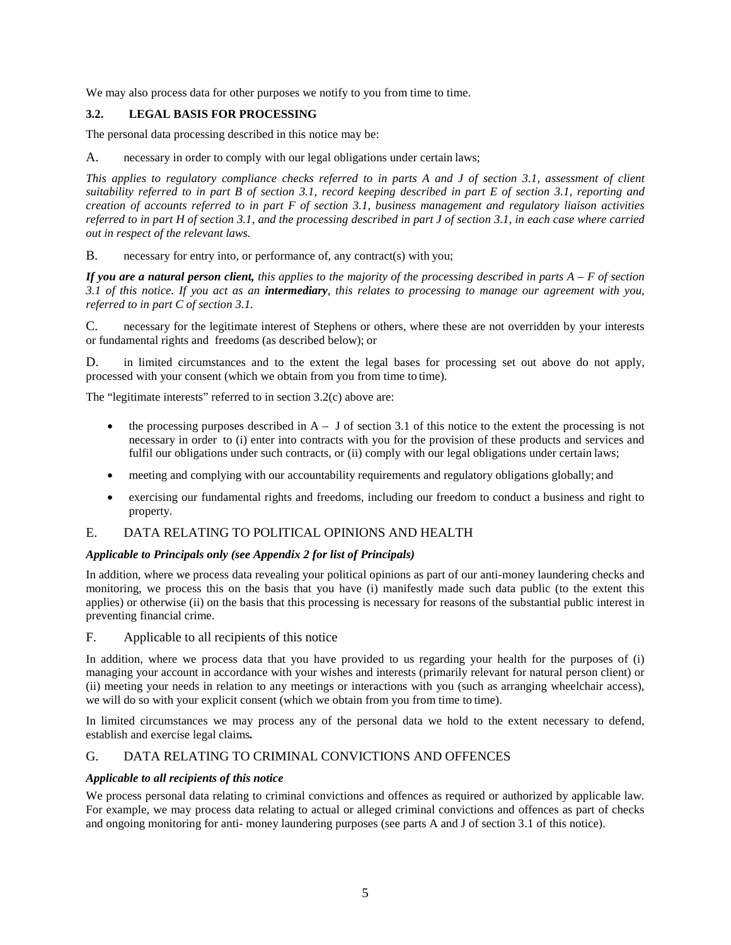We may also process data for other purposes we notify to you from time to time.

## **3.2. LEGAL BASIS FOR PROCESSING**

The personal data processing described in this notice may be:

A. necessary in order to comply with our legal obligations under certain laws;

*This applies to regulatory compliance checks referred to in parts A and J of section 3.1, assessment of client suitability referred to in part B of section 3.1, record keeping described in part E of section 3.1, reporting and creation of accounts referred to in part F of section 3.1, business management and regulatory liaison activities referred to in part H of section 3.1, and the processing described in part J of section 3.1, in each case where carried out in respect of the relevant laws.*

B. necessary for entry into, or performance of, any contract(s) with you;

*If you are a natural person client, this applies to the majority of the processing described in parts A – F of section 3.1 of this notice. If you act as an intermediary, this relates to processing to manage our agreement with you, referred to in part C of section 3.1.*

C. necessary for the legitimate interest of Stephens or others, where these are not overridden by your interests or fundamental rights and freedoms (as described below); or

D. in limited circumstances and to the extent the legal bases for processing set out above do not apply, processed with your consent (which we obtain from you from time to time).

The "legitimate interests" referred to in section 3.2(c) above are:

- the processing purposes described in  $A J$  of section 3.1 of this notice to the extent the processing is not necessary in order to (i) enter into contracts with you for the provision of these products and services and fulfil our obligations under such contracts, or (ii) comply with our legal obligations under certain laws;
- meeting and complying with our accountability requirements and regulatory obligations globally; and
- exercising our fundamental rights and freedoms, including our freedom to conduct a business and right to property.

### E. DATA RELATING TO POLITICAL OPINIONS AND HEALTH

### *Applicable to Principals only (see Appendix 2 for list of Principals)*

In addition, where we process data revealing your political opinions as part of our anti-money laundering checks and monitoring, we process this on the basis that you have (i) manifestly made such data public (to the extent this applies) or otherwise (ii) on the basis that this processing is necessary for reasons of the substantial public interest in preventing financial crime.

F. Applicable to all recipients of this notice

In addition, where we process data that you have provided to us regarding your health for the purposes of (i) managing your account in accordance with your wishes and interests (primarily relevant for natural person client) or (ii) meeting your needs in relation to any meetings or interactions with you (such as arranging wheelchair access), we will do so with your explicit consent (which we obtain from you from time to time).

In limited circumstances we may process any of the personal data we hold to the extent necessary to defend, establish and exercise legal claims*.*

### G. DATA RELATING TO CRIMINAL CONVICTIONS AND OFFENCES

#### *Applicable to all recipients of this notice*

We process personal data relating to criminal convictions and offences as required or authorized by applicable law. For example, we may process data relating to actual or alleged criminal convictions and offences as part of checks and ongoing monitoring for anti- money laundering purposes (see parts A and J of section 3.1 of this notice).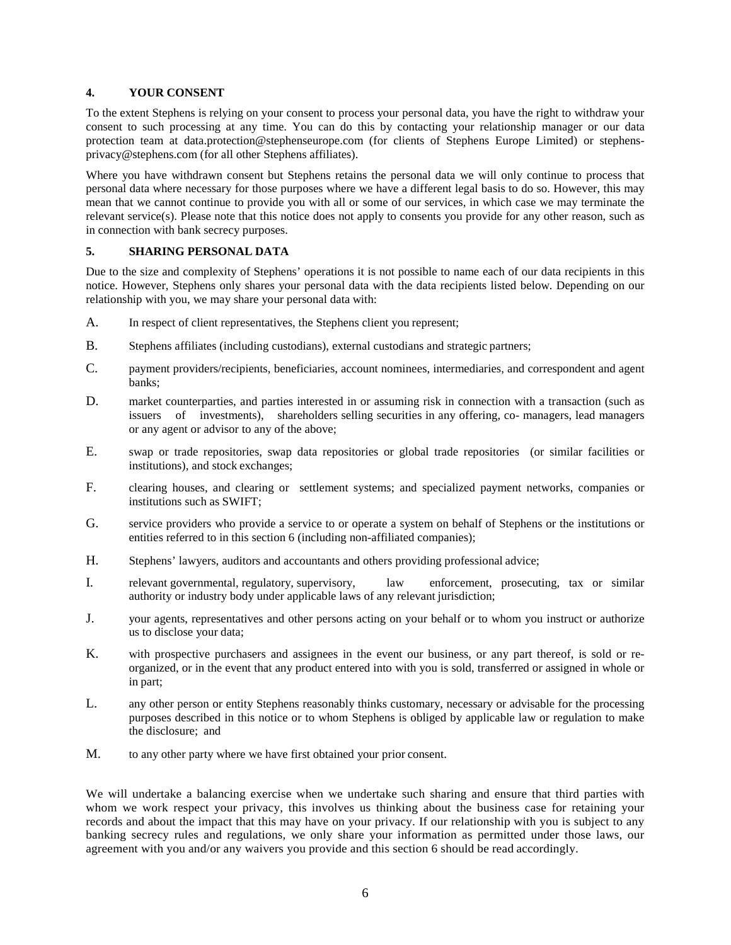#### **4. YOUR CONSENT**

To the extent Stephens is relying on your consent to process your personal data, you have the right to withdraw your consent to such processing at any time. You can do this by contacting your relationship manager or our data protection team at [data.protection@stephenseurope.com](mailto:data.protection@stephenseurope.com) (for clients of Stephens Europe Limited) or stephensprivacy@stephens.com (for all other Stephens affiliates).

Where you have withdrawn consent but Stephens retains the personal data we will only continue to process that personal data where necessary for those purposes where we have a different legal basis to do so. However, this may mean that we cannot continue to provide you with all or some of our services, in which case we may terminate the relevant service(s). Please note that this notice does not apply to consents you provide for any other reason, such as in connection with bank secrecy purposes.

### **5. SHARING PERSONAL DATA**

Due to the size and complexity of Stephens' operations it is not possible to name each of our data recipients in this notice. However, Stephens only shares your personal data with the data recipients listed below. Depending on our relationship with you, we may share your personal data with:

- A. In respect of client representatives, the Stephens client you represent;
- B. Stephens affiliates (including custodians), external custodians and strategic partners;
- C. payment providers/recipients, beneficiaries, account nominees, intermediaries, and correspondent and agent banks;
- D. market counterparties, and parties interested in or assuming risk in connection with a transaction (such as issuers of investments), shareholders selling securities in any offering, co- managers, lead managers or any agent or advisor to any of the above;
- E. swap or trade repositories, swap data repositories or global trade repositories (or similar facilities or institutions), and stock exchanges;
- F. clearing houses, and clearing or settlement systems; and specialized payment networks, companies or institutions such as SWIFT;
- G. service providers who provide a service to or operate a system on behalf of Stephens or the institutions or entities referred to in this section 6 (including non-affiliated companies);
- H. Stephens' lawyers, auditors and accountants and others providing professional advice;
- I. relevant governmental, regulatory, supervisory, law enforcement, prosecuting, tax or similar authority or industry body under applicable laws of any relevant jurisdiction;
- J. your agents, representatives and other persons acting on your behalf or to whom you instruct or authorize us to disclose your data;
- K. with prospective purchasers and assignees in the event our business, or any part thereof, is sold or reorganized, or in the event that any product entered into with you is sold, transferred or assigned in whole or in part;
- L. any other person or entity Stephens reasonably thinks customary, necessary or advisable for the processing purposes described in this notice or to whom Stephens is obliged by applicable law or regulation to make the disclosure; and
- M. to any other party where we have first obtained your prior consent.

We will undertake a balancing exercise when we undertake such sharing and ensure that third parties with whom we work respect your privacy, this involves us thinking about the business case for retaining your records and about the impact that this may have on your privacy. If our relationship with you is subject to any banking secrecy rules and regulations, we only share your information as permitted under those laws, our agreement with you and/or any waivers you provide and this section 6 should be read accordingly.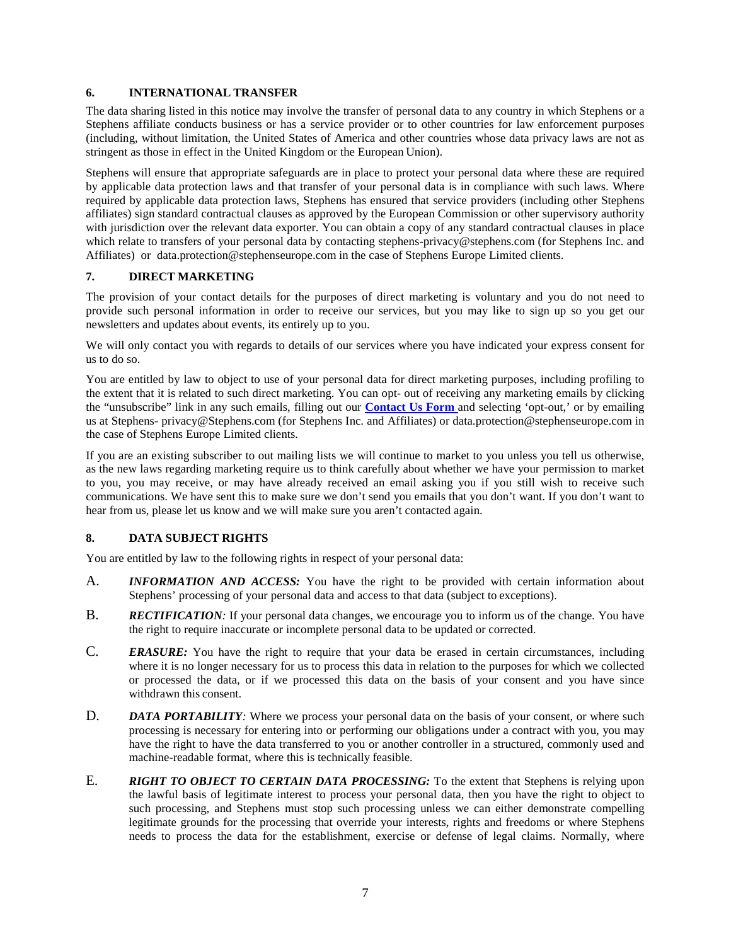### **6. INTERNATIONAL TRANSFER**

The data sharing listed in this notice may involve the transfer of personal data to any country in which Stephens or a Stephens affiliate conducts business or has a service provider or to other countries for law enforcement purposes (including, without limitation, the United States of America and other countries whose data privacy laws are not as stringent as those in effect in the United Kingdom or the European Union).

Stephens will ensure that appropriate safeguards are in place to protect your personal data where these are required by applicable data protection laws and that transfer of your personal data is in compliance with such laws. Where required by applicable data protection laws, Stephens has ensured that service providers (including other Stephens affiliates) sign standard contractual clauses as approved by the European Commission or other supervisory authority with jurisdiction over the relevant data exporter. You can obtain a copy of any standard contractual clauses in place which relate to transfers of your personal data by contacting [stephens-privacy@stephens.com](mailto:stephens-privacy@stephens.com) (for Stephens Inc. and Affiliates) or data.protection@stephenseurope.com in the case of Stephens Europe Limited clients.

### **7. DIRECT MARKETING**

The provision of your contact details for the purposes of direct marketing is voluntary and you do not need to provide such personal information in order to receive our services, but you may like to sign up so you get our newsletters and updates about events, its entirely up to you.

We will only contact you with regards to details of our services where you have indicated your express consent for us to do so.

You are entitled by law to object to use of your personal data for direct marketing purposes, including profiling to the extent that it is related to such direct marketing. You can opt- out of receiving any marketing emails by clicking the "unsubscribe" link in any such emails, filling out our **[Contact Us Form](https://www.stephens.com/locations/)** and selecting 'opt-out,' or by emailing us at Stephens- [privacy@Stephens.com](mailto:privacy@Stephens.com) (for Stephens Inc. and Affiliates) or [data.protection@stephenseurope.com](mailto:data.protection@stephenseurope.com) in the case of Stephens Europe Limited clients.

If you are an existing subscriber to out mailing lists we will continue to market to you unless you tell us otherwise, as the new laws regarding marketing require us to think carefully about whether we have your permission to market to you, you may receive, or may have already received an email asking you if you still wish to receive such communications. We have sent this to make sure we don't send you emails that you don't want. If you don't want to hear from us, please let us know and we will make sure you aren't contacted again.

### **8. DATA SUBJECT RIGHTS**

You are entitled by law to the following rights in respect of your personal data:

- A. *INFORMATION AND ACCESS:* You have the right to be provided with certain information about Stephens' processing of your personal data and access to that data (subject to exceptions).
- B. *RECTIFICATION:* If your personal data changes, we encourage you to inform us of the change*.* You have the right to require inaccurate or incomplete personal data to be updated or corrected.
- C. *ERASURE:* You have the right to require that your data be erased in certain circumstances, including where it is no longer necessary for us to process this data in relation to the purposes for which we collected or processed the data, or if we processed this data on the basis of your consent and you have since withdrawn this consent.
- D. *DATA PORTABILITY*: Where we process your personal data on the basis of your consent, or where such processing is necessary for entering into or performing our obligations under a contract with you, you may have the right to have the data transferred to you or another controller in a structured, commonly used and machine-readable format, where this is technically feasible.
- E. *RIGHT TO OBJECT TO CERTAIN DATA PROCESSING:* To the extent that Stephens is relying upon the lawful basis of legitimate interest to process your personal data, then you have the right to object to such processing, and Stephens must stop such processing unless we can either demonstrate compelling legitimate grounds for the processing that override your interests, rights and freedoms or where Stephens needs to process the data for the establishment, exercise or defense of legal claims. Normally, where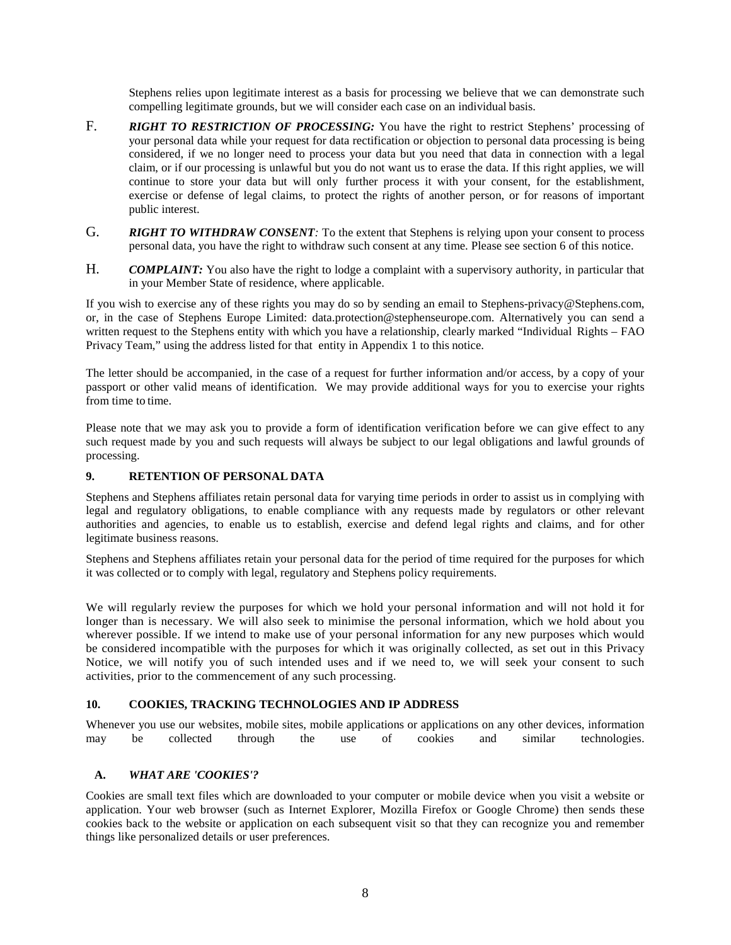Stephens relies upon legitimate interest as a basis for processing we believe that we can demonstrate such compelling legitimate grounds, but we will consider each case on an individual basis.

- F. **RIGHT TO RESTRICTION OF PROCESSING:** You have the right to restrict Stephens' processing of your personal data while your request for data rectification or objection to personal data processing is being considered, if we no longer need to process your data but you need that data in connection with a legal claim, or if our processing is unlawful but you do not want us to erase the data. If this right applies, we will continue to store your data but will only further process it with your consent, for the establishment, exercise or defense of legal claims, to protect the rights of another person, or for reasons of important public interest.
- G. *RIGHT TO WITHDRAW CONSENT:* To the extent that Stephens is relying upon your consent to process personal data, you have the right to withdraw such consent at any time. Please see section 6 of this notice.
- H. *COMPLAINT*: You also have the right to lodge a complaint with a supervisory authority, in particular that in your Member State of residence, where applicable.

If you wish to exercise any of these rights you may do so by sending an email to Stephens[-privacy@Stephens.com,](mailto:privacy@Stephens.com) or, in the case of Stephens Europe Limited: data.protection@stephenseurope.com. Alternatively you can send a written request to the Stephens entity with which you have a relationship, clearly marked "Individual Rights – FAO Privacy Team," using the address listed for that entity in Appendix 1 to this notice.

The letter should be accompanied, in the case of a request for further information and/or access, by a copy of your passport or other valid means of identification. We may provide additional ways for you to exercise your rights from time to time.

Please note that we may ask you to provide a form of identification verification before we can give effect to any such request made by you and such requests will always be subject to our legal obligations and lawful grounds of processing.

### **9. RETENTION OF PERSONAL DATA**

Stephens and Stephens affiliates retain personal data for varying time periods in order to assist us in complying with legal and regulatory obligations, to enable compliance with any requests made by regulators or other relevant authorities and agencies, to enable us to establish, exercise and defend legal rights and claims, and for other legitimate business reasons.

Stephens and Stephens affiliates retain your personal data for the period of time required for the purposes for which it was collected or to comply with legal, regulatory and Stephens policy requirements.

We will regularly review the purposes for which we hold your personal information and will not hold it for longer than is necessary. We will also seek to minimise the personal information, which we hold about you wherever possible. If we intend to make use of your personal information for any new purposes which would be considered incompatible with the purposes for which it was originally collected, as set out in this Privacy Notice, we will notify you of such intended uses and if we need to, we will seek your consent to such activities, prior to the commencement of any such processing.

#### **10. COOKIES, TRACKING TECHNOLOGIES AND IP ADDRESS**

Whenever you use our websites, mobile sites, mobile applications or applications on any other devices, information may be collected through the use of cookies and similar technologies.

### **A.** *WHAT ARE 'COOKIES'?*

Cookies are small text files which are downloaded to your computer or mobile device when you visit a website or application. Your web browser (such as Internet Explorer, Mozilla Firefox or Google Chrome) then sends these cookies back to the website or application on each subsequent visit so that they can recognize you and remember things like personalized details or user preferences.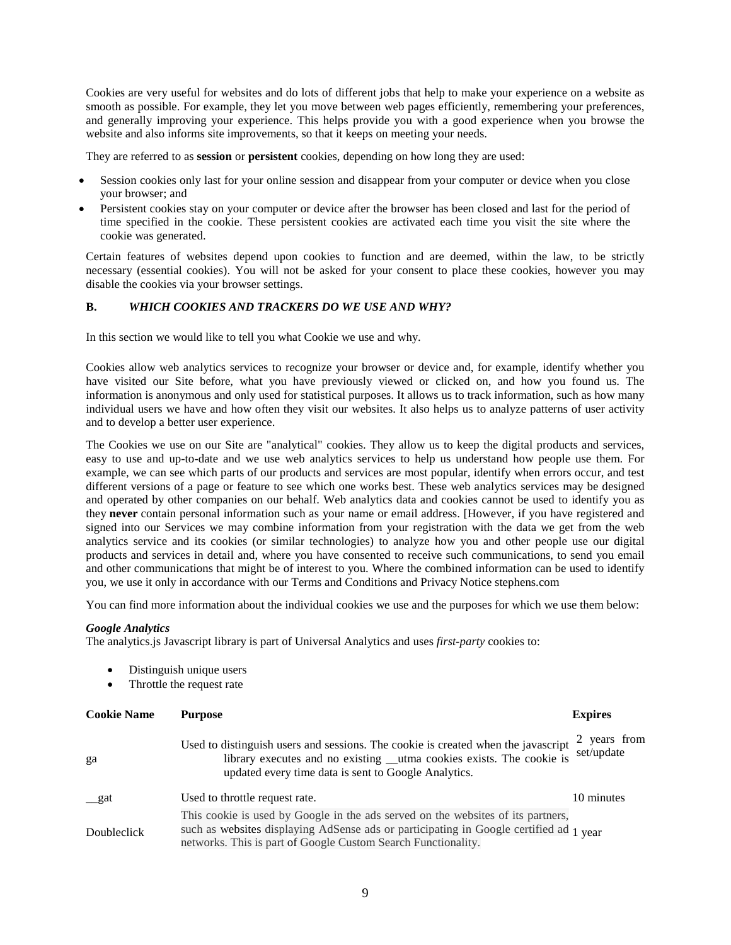Cookies are very useful for websites and do lots of different jobs that help to make your experience on a website as smooth as possible. For example, they let you move between web pages efficiently, remembering your preferences, and generally improving your experience. This helps provide you with a good experience when you browse the website and also informs site improvements, so that it keeps on meeting your needs.

They are referred to as **session** or **persistent** cookies, depending on how long they are used:

- Session cookies only last for your online session and disappear from your computer or device when you close your browser; and
- Persistent cookies stay on your computer or device after the browser has been closed and last for the period of time specified in the cookie. These persistent cookies are activated each time you visit the site where the cookie was generated.

Certain features of websites depend upon cookies to function and are deemed, within the law, to be strictly necessary (essential cookies). You will not be asked for your consent to place these cookies, however you may disable the cookies via your browser settings.

#### **B.** *WHICH COOKIES AND TRACKERS DO WE USE AND WHY?*

In this section we would like to tell you what Cookie we use and why.

Cookies allow web analytics services to recognize your browser or device and, for example, identify whether you have visited our Site before, what you have previously viewed or clicked on, and how you found us. The information is anonymous and only used for statistical purposes. It allows us to track information, such as how many individual users we have and how often they visit our websites. It also helps us to analyze patterns of user activity and to develop a better user experience.

The Cookies we use on our Site are "analytical" cookies. They allow us to keep the digital products and services, easy to use and up-to-date and we use web analytics services to help us understand how people use them. For example, we can see which parts of our products and services are most popular, identify when errors occur, and test different versions of a page or feature to see which one works best. These web analytics services may be designed and operated by other companies on our behalf. Web analytics data and cookies cannot be used to identify you as they **never** contain personal information such as your name or email address. [However, if you have registered and signed into our Services we may combine information from your registration with the data we get from the web analytics service and its cookies (or similar technologies) to analyze how you and other people use our digital products and services in detail and, where you have consented to receive such communications, to send you email and other communications that might be of interest to you. Where the combined information can be used to identify you, we use it only in accordance with our Terms and Conditions and Privacy Notice stephens.com

You can find more information about the individual cookies we use and the purposes for which we use them below:

#### *Google Analytics*

The analytics.js Javascript library is part of Universal Analytics and uses *first-party* cookies to:

- Distinguish unique users
- Throttle the request rate

| <b>Cookie Name</b> | <b>Purpose</b>                                                                                                                                                                                                                              | <b>Expires</b>           |
|--------------------|---------------------------------------------------------------------------------------------------------------------------------------------------------------------------------------------------------------------------------------------|--------------------------|
| ga                 | Used to distinguish users and sessions. The cookie is created when the javascript<br>library executes and no existing __utma cookies exists. The cookie is<br>updated every time data is sent to Google Analytics.                          | years from<br>set/update |
| _gat               | Used to throttle request rate.                                                                                                                                                                                                              | 10 minutes               |
| Doubleclick        | This cookie is used by Google in the ads served on the websites of its partners,<br>such as websites displaying AdSense ads or participating in Google certified ad 1 year<br>networks. This is part of Google Custom Search Functionality. |                          |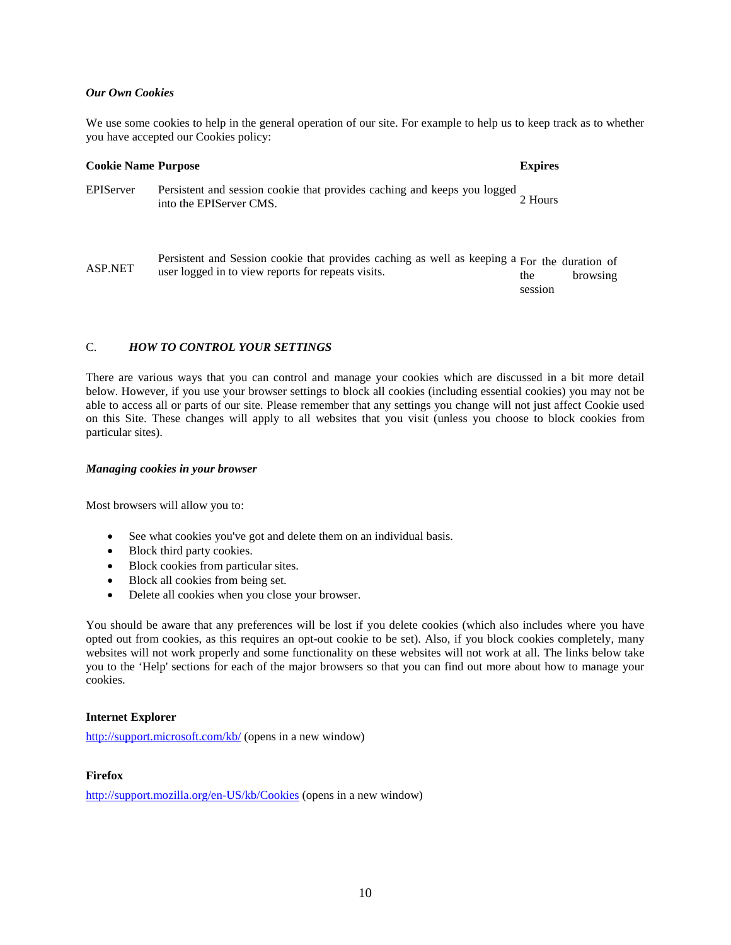#### *Our Own Cookies*

We use some cookies to help in the general operation of our site. For example to help us to keep track as to whether you have accepted our Cookies policy:

| <b>Cookie Name Purpose</b> |                                                                                                                                                    | <b>Expires</b> |          |
|----------------------------|----------------------------------------------------------------------------------------------------------------------------------------------------|----------------|----------|
| EPIServer                  | Persistent and session cookie that provides caching and keeps you logged<br>into the EPIServer CMS.                                                | 2 Hours        |          |
| ASP.NET                    | Persistent and Session cookie that provides caching as well as keeping a For the duration of<br>user logged in to view reports for repeats visits. | the<br>session | browsing |

## C. *HOW TO CONTROL YOUR SETTINGS*

There are various ways that you can control and manage your cookies which are discussed in a bit more detail below. However, if you use your browser settings to block all cookies (including essential cookies) you may not be able to access all or parts of our site. Please remember that any settings you change will not just affect Cookie used on this Site. These changes will apply to all websites that you visit (unless you choose to block cookies from particular sites).

#### *Managing cookies in your browser*

Most browsers will allow you to:

- See what cookies you've got and delete them on an individual basis.
- Block third party cookies.
- Block cookies from particular sites.
- Block all cookies from being set.
- Delete all cookies when you close your browser.

You should be aware that any preferences will be lost if you delete cookies (which also includes where you have opted out from cookies, as this requires an opt-out cookie to be set). Also, if you block cookies completely, many websites will not work properly and some functionality on these websites will not work at all. The links below take you to the 'Help' sections for each of the major browsers so that you can find out more about how to manage your cookies.

#### **Internet Explorer**

<http://support.microsoft.com/kb/> (opens in a new window)

#### **Firefox**

<http://support.mozilla.org/en-US/kb/Cookies> (opens in a new window)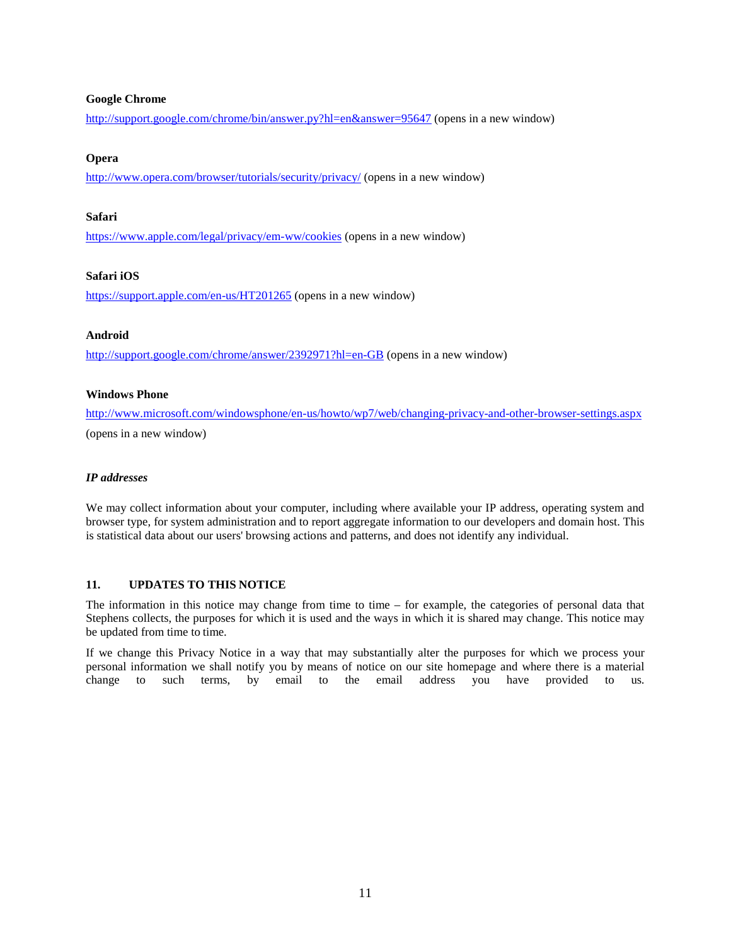#### **Google Chrome**

<http://support.google.com/chrome/bin/answer.py?hl=en&answer=95647> (opens in a new window)

## **Opera**

<http://www.opera.com/browser/tutorials/security/privacy/> (opens in a new window)

#### **Safari**

<https://www.apple.com/legal/privacy/em-ww/cookies> (opens in a new window)

#### **Safari iOS**

<https://support.apple.com/en-us/HT201265> (opens in a new window)

#### **Android**

<http://support.google.com/chrome/answer/2392971?hl=en-GB> (opens in a new window)

#### **Windows Phone**

<http://www.microsoft.com/windowsphone/en-us/howto/wp7/web/changing-privacy-and-other-browser-settings.aspx> [\(opens in a new window\)](http://www.microsoft.com/windowsphone/en-us/howto/wp7/web/changing-privacy-and-other-browser-settings.aspx)

#### *IP addresses*

We may collect information about your computer, including where available your IP address, operating system and browser type, for system administration and to report aggregate information to our developers and domain host. This is statistical data about our users' browsing actions and patterns, and does not identify any individual.

### **11. UPDATES TO THIS NOTICE**

The information in this notice may change from time to time – for example, the categories of personal data that Stephens collects, the purposes for which it is used and the ways in which it is shared may change. This notice may be updated from time to time.

If we change this Privacy Notice in a way that may substantially alter the purposes for which we process your personal information we shall notify you by means of notice on our site homepage and where there is a material change to such terms, by email to the email address you have provided to us.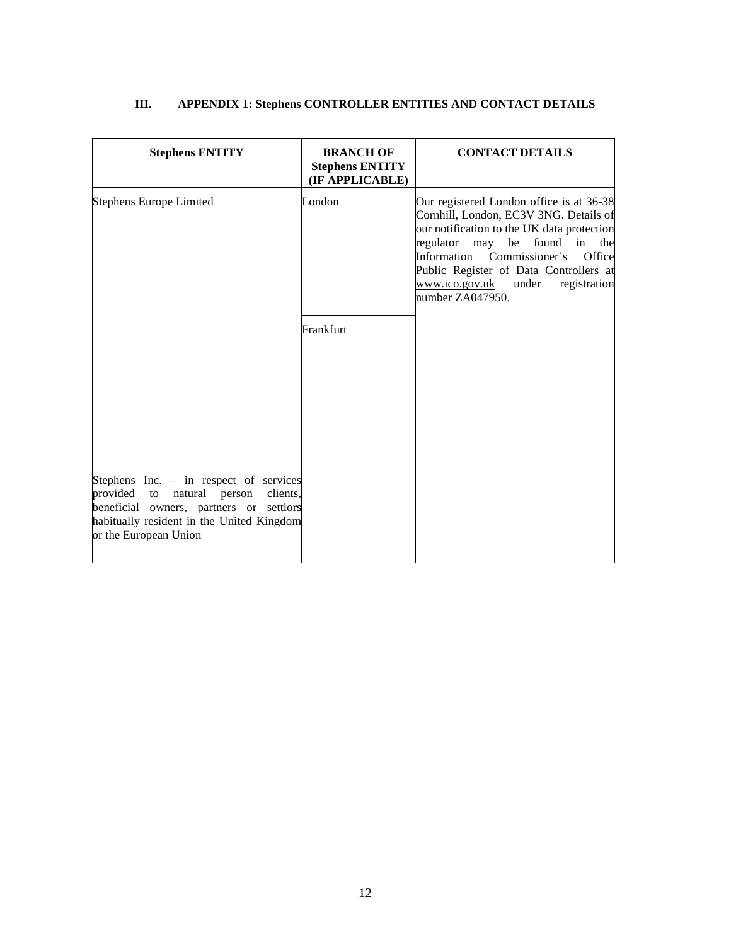| <b>Stephens ENTITY</b>                                                                                                                                                                                  | <b>BRANCH OF</b><br><b>Stephens ENTITY</b><br>(IF APPLICABLE) | <b>CONTACT DETAILS</b>                                                                                                                                                                                                                                                                                             |
|---------------------------------------------------------------------------------------------------------------------------------------------------------------------------------------------------------|---------------------------------------------------------------|--------------------------------------------------------------------------------------------------------------------------------------------------------------------------------------------------------------------------------------------------------------------------------------------------------------------|
| <b>Stephens Europe Limited</b>                                                                                                                                                                          | London                                                        | Our registered London office is at 36-38<br>Cornhill, London, EC3V 3NG. Details of<br>our notification to the UK data protection<br>regulator may be found in<br>the<br>Information Commissioner's<br>Office<br>Public Register of Data Controllers at<br>www.ico.gov.uk under<br>registration<br>number ZA047950. |
|                                                                                                                                                                                                         | Frankfurt                                                     |                                                                                                                                                                                                                                                                                                                    |
| Stephens Inc. - in respect of services<br>provided<br>natural person<br>clients,<br>to<br>beneficial owners, partners or settlors<br>habitually resident in the United Kingdom<br>or the European Union |                                                               |                                                                                                                                                                                                                                                                                                                    |

# **III. APPENDIX 1: Stephens CONTROLLER ENTITIES AND CONTACT DETAILS**